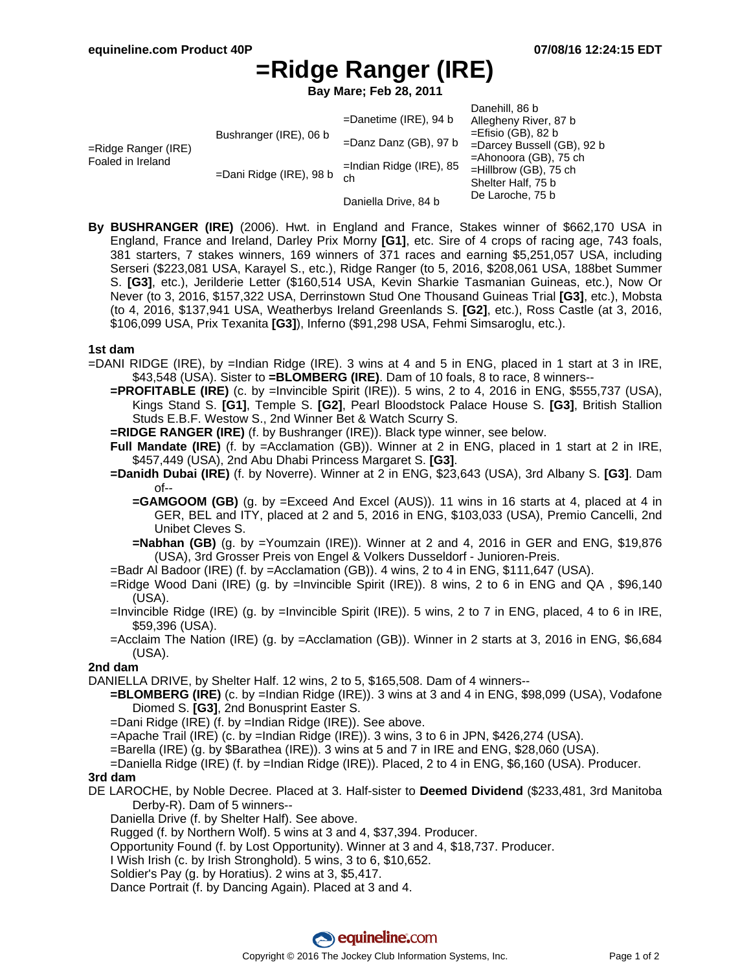# **=Ridge Ranger (IRE)**

**Bay Mare; Feb 28, 2011**

| =Ridge Ranger (IRE)<br>Foaled in Ireland | Bushranger (IRE), 06 b<br>=Dani Ridge (IRE), 98 b | $=$ Danetime (IRE), 94 b<br>$=$ Danz Danz (GB), 97 b<br>$=$ Indian Ridge (IRE), 85<br>ch | Danehill, 86 b<br>Allegheny River, 87 b<br>$=$ Efisio (GB), 82 b<br>=Darcey Bussell (GB), 92 b<br>$=$ Ahonoora (GB), 75 ch<br>$=$ Hillbrow (GB), 75 ch<br>Shelter Half, 75 b |
|------------------------------------------|---------------------------------------------------|------------------------------------------------------------------------------------------|------------------------------------------------------------------------------------------------------------------------------------------------------------------------------|
|                                          |                                                   | Daniella Drive, 84 b                                                                     | De Laroche, 75 b                                                                                                                                                             |

**By BUSHRANGER (IRE)** (2006). Hwt. in England and France, Stakes winner of \$662,170 USA in England, France and Ireland, Darley Prix Morny **[G1]**, etc. Sire of 4 crops of racing age, 743 foals, 381 starters, 7 stakes winners, 169 winners of 371 races and earning \$5,251,057 USA, including Serseri (\$223,081 USA, Karayel S., etc.), Ridge Ranger (to 5, 2016, \$208,061 USA, 188bet Summer S. **[G3]**, etc.), Jerilderie Letter (\$160,514 USA, Kevin Sharkie Tasmanian Guineas, etc.), Now Or Never (to 3, 2016, \$157,322 USA, Derrinstown Stud One Thousand Guineas Trial **[G3]**, etc.), Mobsta (to 4, 2016, \$137,941 USA, Weatherbys Ireland Greenlands S. **[G2]**, etc.), Ross Castle (at 3, 2016, \$106,099 USA, Prix Texanita **[G3]**), Inferno (\$91,298 USA, Fehmi Simsaroglu, etc.).

#### **1st dam**

- =DANI RIDGE (IRE), by =Indian Ridge (IRE). 3 wins at 4 and 5 in ENG, placed in 1 start at 3 in IRE, \$43,548 (USA). Sister to **=BLOMBERG (IRE)**. Dam of 10 foals, 8 to race, 8 winners--
	- **=PROFITABLE (IRE)** (c. by =Invincible Spirit (IRE)). 5 wins, 2 to 4, 2016 in ENG, \$555,737 (USA), Kings Stand S. **[G1]**, Temple S. **[G2]**, Pearl Bloodstock Palace House S. **[G3]**, British Stallion Studs E.B.F. Westow S., 2nd Winner Bet & Watch Scurry S.
	- **=RIDGE RANGER (IRE)** (f. by Bushranger (IRE)). Black type winner, see below.
	- **Full Mandate (IRE)** (f. by =Acclamation (GB)). Winner at 2 in ENG, placed in 1 start at 2 in IRE, \$457,449 (USA), 2nd Abu Dhabi Princess Margaret S. **[G3]**.
	- **=Danidh Dubai (IRE)** (f. by Noverre). Winner at 2 in ENG, \$23,643 (USA), 3rd Albany S. **[G3]**. Dam of--
		- **=GAMGOOM (GB)** (g. by =Exceed And Excel (AUS)). 11 wins in 16 starts at 4, placed at 4 in GER, BEL and ITY, placed at 2 and 5, 2016 in ENG, \$103,033 (USA), Premio Cancelli, 2nd Unibet Cleves S.
		- **=Nabhan (GB)** (g. by =Youmzain (IRE)). Winner at 2 and 4, 2016 in GER and ENG, \$19,876 (USA), 3rd Grosser Preis von Engel & Volkers Dusseldorf - Junioren-Preis.
	- =Badr Al Badoor (IRE) (f. by =Acclamation (GB)). 4 wins, 2 to 4 in ENG, \$111,647 (USA).
	- =Ridge Wood Dani (IRE) (g. by =Invincible Spirit (IRE)). 8 wins, 2 to 6 in ENG and QA , \$96,140 (USA).
	- =Invincible Ridge (IRE) (g. by =Invincible Spirit (IRE)). 5 wins, 2 to 7 in ENG, placed, 4 to 6 in IRE, \$59,396 (USA).
	- =Acclaim The Nation (IRE) (g. by =Acclamation (GB)). Winner in 2 starts at 3, 2016 in ENG, \$6,684 (USA).

### **2nd dam**

DANIELLA DRIVE, by Shelter Half. 12 wins, 2 to 5, \$165,508. Dam of 4 winners--

- **=BLOMBERG (IRE)** (c. by =Indian Ridge (IRE)). 3 wins at 3 and 4 in ENG, \$98,099 (USA), Vodafone Diomed S. **[G3]**, 2nd Bonusprint Easter S.
- =Dani Ridge (IRE) (f. by =Indian Ridge (IRE)). See above.

=Apache Trail (IRE) (c. by =Indian Ridge (IRE)). 3 wins, 3 to 6 in JPN, \$426,274 (USA).

=Barella (IRE) (g. by \$Barathea (IRE)). 3 wins at 5 and 7 in IRE and ENG, \$28,060 (USA).

=Daniella Ridge (IRE) (f. by =Indian Ridge (IRE)). Placed, 2 to 4 in ENG, \$6,160 (USA). Producer.

### **3rd dam**

DE LAROCHE, by Noble Decree. Placed at 3. Half-sister to **Deemed Dividend** (\$233,481, 3rd Manitoba Derby-R). Dam of 5 winners--

Daniella Drive (f. by Shelter Half). See above.

Rugged (f. by Northern Wolf). 5 wins at 3 and 4, \$37,394. Producer.

Opportunity Found (f. by Lost Opportunity). Winner at 3 and 4, \$18,737. Producer.

- I Wish Irish (c. by Irish Stronghold). 5 wins, 3 to 6, \$10,652.
- Soldier's Pay (g. by Horatius). 2 wins at 3, \$5,417.

Dance Portrait (f. by Dancing Again). Placed at 3 and 4.